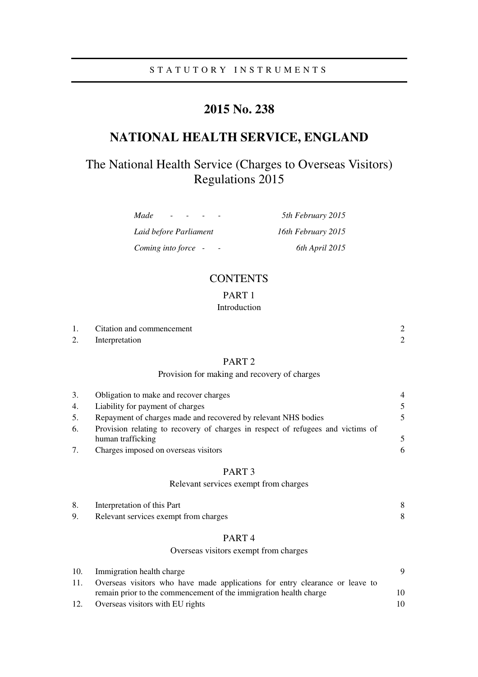# **2015 No. 238**

# **NATIONAL HEALTH SERVICE, ENGLAND**

# The National Health Service (Charges to Overseas Visitors) Regulations 2015

| Made<br>$\overline{\phantom{0}}$ | 5th February 2015  |
|----------------------------------|--------------------|
| Laid before Parliament           | 16th February 2015 |
| Coming into force -              | 6th April 2015     |

# **CONTENTS**

# PART 1

## Introduction

|    | Citation and commencement |  |
|----|---------------------------|--|
| 2. | Interpretation            |  |

# PART 2

## Provision for making and recovery of charges

| 3. | Obligation to make and recover charges                                          | $\overline{4}$           |
|----|---------------------------------------------------------------------------------|--------------------------|
| 4. | Liability for payment of charges                                                | 5                        |
| 5. | Repayment of charges made and recovered by relevant NHS bodies                  | 5.                       |
| 6. | Provision relating to recovery of charges in respect of refugees and victims of |                          |
|    | human trafficking                                                               | $\overline{\mathcal{L}}$ |
|    | Charges imposed on overseas visitors                                            | 6                        |

### PART 3

## Relevant services exempt from charges

| 8. | Interpretation of this Part           |  |
|----|---------------------------------------|--|
|    | Relevant services exempt from charges |  |

# PART 4

### Overseas visitors exempt from charges

| 10. | Immigration health charge                                                    |     |
|-----|------------------------------------------------------------------------------|-----|
| 11. | Overseas visitors who have made applications for entry clearance or leave to |     |
|     | remain prior to the commencement of the immigration health charge            | 10. |
| 12. | Overseas visitors with EU rights                                             | 10  |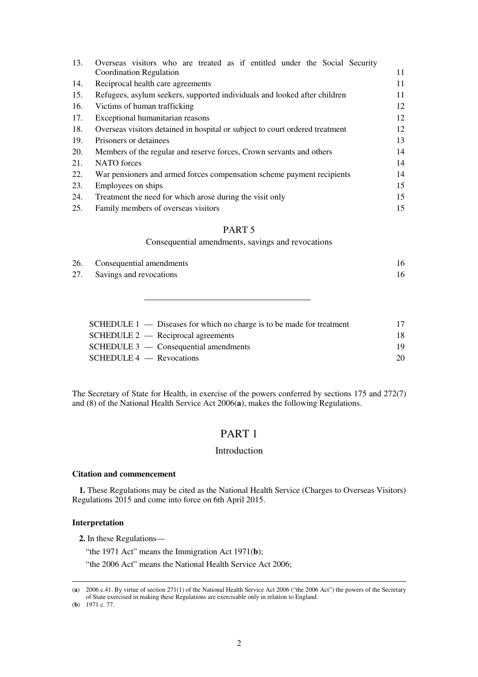| 13. | Overseas visitors who are treated as if entitled under the Social Security   |    |
|-----|------------------------------------------------------------------------------|----|
|     | Coordination Regulation                                                      | 11 |
| 14. | Reciprocal health care agreements                                            | 11 |
| 15. | Refugees, asylum seekers, supported individuals and looked after children    | 11 |
| 16. | Victims of human trafficking                                                 | 12 |
| 17. | Exceptional humanitarian reasons                                             | 12 |
| 18. | Overseas visitors detained in hospital or subject to court ordered treatment | 12 |
| 19. | Prisoners or detainees                                                       | 13 |
| 20. | Members of the regular and reserve forces, Crown servants and others         | 14 |
| 21. | NATO forces                                                                  | 14 |
| 22. | War pensioners and armed forces compensation scheme payment recipients       | 14 |
| 23. | Employees on ships                                                           | 15 |
| 24. | Treatment the need for which arose during the visit only                     | 15 |
| 25. | Family members of overseas visitors                                          | 15 |

### PART 5

Consequential amendments, savings and revocations

| 26. Consequential amendments |  |
|------------------------------|--|
| 27. Savings and revocations  |  |

| SCHEDULE $1 -$ Diseases for which no charge is to be made for treatment | 17  |
|-------------------------------------------------------------------------|-----|
| $SCHEDULE 2$ — Reciprocal agreements                                    | 18  |
| $SCHEDULE 3$ — Consequential amendments                                 | 19. |
| $SCHEDULE 4$ - Revocations                                              | 20  |
|                                                                         |     |

The Secretary of State for Health, in exercise of the powers conferred by sections 175 and 272(7) and (8) of the National Health Service Act 2006(**a**), makes the following Regulations.

# PART 1

## Introduction

### **Citation and commencement**

**1.** These Regulations may be cited as the National Health Service (Charges to Overseas Visitors) Regulations 2015 and come into force on 6th April 2015.

#### **Interpretation**

**2.** In these Regulations—

"the 1971 Act" means the Immigration Act 1971(**b**);

"the 2006 Act" means the National Health Service Act 2006;

(**b**) 1971 c. 77.

<sup>(</sup>**a**) 2006 c.41. By virtue of section 271(1) of the National Health Service Act 2006 ("the 2006 Act") the powers of the Secretary of State exercised in making these Regulations are exercisable only in relation to England.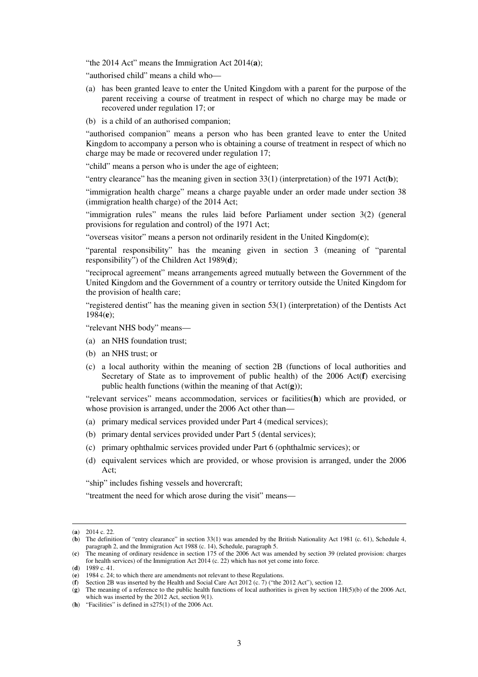"the 2014 Act" means the Immigration Act 2014(**a**);

"authorised child" means a child who—

- (a) has been granted leave to enter the United Kingdom with a parent for the purpose of the parent receiving a course of treatment in respect of which no charge may be made or recovered under regulation 17; or
- (b) is a child of an authorised companion;

"authorised companion" means a person who has been granted leave to enter the United Kingdom to accompany a person who is obtaining a course of treatment in respect of which no charge may be made or recovered under regulation 17;

"child" means a person who is under the age of eighteen;

"entry clearance" has the meaning given in section 33(1) (interpretation) of the 1971 Act(**b**);

"immigration health charge" means a charge payable under an order made under section 38 (immigration health charge) of the 2014 Act;

"immigration rules" means the rules laid before Parliament under section 3(2) (general provisions for regulation and control) of the 1971 Act;

"overseas visitor" means a person not ordinarily resident in the United Kingdom(**c**);

"parental responsibility" has the meaning given in section 3 (meaning of "parental responsibility") of the Children Act 1989(**d**);

"reciprocal agreement" means arrangements agreed mutually between the Government of the United Kingdom and the Government of a country or territory outside the United Kingdom for the provision of health care;

"registered dentist" has the meaning given in section 53(1) (interpretation) of the Dentists Act 1984(**e**);

"relevant NHS body" means—

- (a) an NHS foundation trust;
- (b) an NHS trust; or
- (c) a local authority within the meaning of section 2B (functions of local authorities and Secretary of State as to improvement of public health) of the 2006 Act(**f**) exercising public health functions (within the meaning of that Act(**g**));

"relevant services" means accommodation, services or facilities(**h**) which are provided, or whose provision is arranged, under the 2006 Act other than—

- (a) primary medical services provided under Part 4 (medical services);
- (b) primary dental services provided under Part 5 (dental services);
- (c) primary ophthalmic services provided under Part 6 (ophthalmic services); or
- (d) equivalent services which are provided, or whose provision is arranged, under the 2006 Act;

"ship" includes fishing vessels and hovercraft;

"treatment the need for which arose during the visit" means—

<sup>(</sup>**a**) 2014 c. 22.

<sup>(</sup>**b**) The definition of "entry clearance" in section 33(1) was amended by the British Nationality Act 1981 (c. 61), Schedule 4, paragraph 2, and the Immigration Act 1988 (c. 14), Schedule, paragraph 5.

<sup>(</sup>**c**) The meaning of ordinary residence in section 175 of the 2006 Act was amended by section 39 (related provision: charges for health services) of the Immigration Act 2014 (c. 22) which has not yet come into force.

<sup>(</sup>**d**) 1989 c. 41.

<sup>(</sup>**e**) 1984 c. 24; to which there are amendments not relevant to these Regulations.

<sup>(</sup>**f**) Section 2B was inserted by the Health and Social Care Act 2012 (c. 7) ("the 2012 Act"), section 12.

<sup>(</sup>**g**) The meaning of a reference to the public health functions of local authorities is given by section 1H(5)(b) of the 2006 Act, which was inserted by the 2012 Act, section 9(1).

<sup>(</sup>**h**) "Facilities" is defined in s275(1) of the 2006 Act.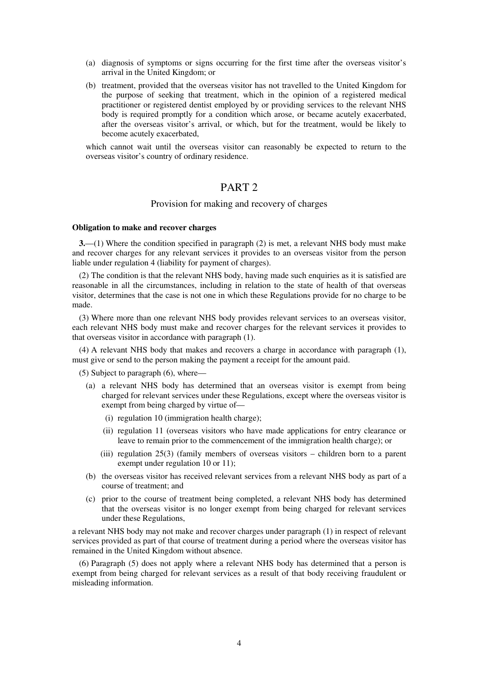- (a) diagnosis of symptoms or signs occurring for the first time after the overseas visitor's arrival in the United Kingdom; or
- (b) treatment, provided that the overseas visitor has not travelled to the United Kingdom for the purpose of seeking that treatment, which in the opinion of a registered medical practitioner or registered dentist employed by or providing services to the relevant NHS body is required promptly for a condition which arose, or became acutely exacerbated, after the overseas visitor's arrival, or which, but for the treatment, would be likely to become acutely exacerbated,

which cannot wait until the overseas visitor can reasonably be expected to return to the overseas visitor's country of ordinary residence.

## PART 2

#### Provision for making and recovery of charges

#### **Obligation to make and recover charges**

**3.**—(1) Where the condition specified in paragraph (2) is met, a relevant NHS body must make and recover charges for any relevant services it provides to an overseas visitor from the person liable under regulation 4 (liability for payment of charges).

(2) The condition is that the relevant NHS body, having made such enquiries as it is satisfied are reasonable in all the circumstances, including in relation to the state of health of that overseas visitor, determines that the case is not one in which these Regulations provide for no charge to be made.

(3) Where more than one relevant NHS body provides relevant services to an overseas visitor, each relevant NHS body must make and recover charges for the relevant services it provides to that overseas visitor in accordance with paragraph (1).

(4) A relevant NHS body that makes and recovers a charge in accordance with paragraph (1), must give or send to the person making the payment a receipt for the amount paid.

(5) Subject to paragraph (6), where—

- (a) a relevant NHS body has determined that an overseas visitor is exempt from being charged for relevant services under these Regulations, except where the overseas visitor is exempt from being charged by virtue of—
	- (i) regulation 10 (immigration health charge);
	- (ii) regulation 11 (overseas visitors who have made applications for entry clearance or leave to remain prior to the commencement of the immigration health charge); or
	- (iii) regulation 25(3) (family members of overseas visitors children born to a parent exempt under regulation 10 or 11);
- (b) the overseas visitor has received relevant services from a relevant NHS body as part of a course of treatment; and
- (c) prior to the course of treatment being completed, a relevant NHS body has determined that the overseas visitor is no longer exempt from being charged for relevant services under these Regulations,

a relevant NHS body may not make and recover charges under paragraph (1) in respect of relevant services provided as part of that course of treatment during a period where the overseas visitor has remained in the United Kingdom without absence.

(6) Paragraph (5) does not apply where a relevant NHS body has determined that a person is exempt from being charged for relevant services as a result of that body receiving fraudulent or misleading information.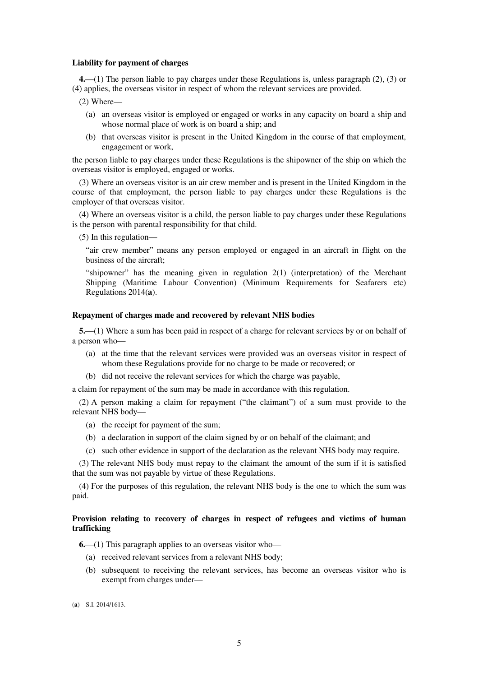#### **Liability for payment of charges**

**4.**—(1) The person liable to pay charges under these Regulations is, unless paragraph (2), (3) or (4) applies, the overseas visitor in respect of whom the relevant services are provided.

- (2) Where—
	- (a) an overseas visitor is employed or engaged or works in any capacity on board a ship and whose normal place of work is on board a ship; and
	- (b) that overseas visitor is present in the United Kingdom in the course of that employment, engagement or work,

the person liable to pay charges under these Regulations is the shipowner of the ship on which the overseas visitor is employed, engaged or works.

(3) Where an overseas visitor is an air crew member and is present in the United Kingdom in the course of that employment, the person liable to pay charges under these Regulations is the employer of that overseas visitor.

(4) Where an overseas visitor is a child, the person liable to pay charges under these Regulations is the person with parental responsibility for that child.

(5) In this regulation—

"air crew member" means any person employed or engaged in an aircraft in flight on the business of the aircraft;

"shipowner" has the meaning given in regulation  $2(1)$  (interpretation) of the Merchant Shipping (Maritime Labour Convention) (Minimum Requirements for Seafarers etc) Regulations 2014(**a**).

#### **Repayment of charges made and recovered by relevant NHS bodies**

**5.**—(1) Where a sum has been paid in respect of a charge for relevant services by or on behalf of a person who—

- (a) at the time that the relevant services were provided was an overseas visitor in respect of whom these Regulations provide for no charge to be made or recovered; or
- (b) did not receive the relevant services for which the charge was payable,

a claim for repayment of the sum may be made in accordance with this regulation.

(2) A person making a claim for repayment ("the claimant") of a sum must provide to the relevant NHS body—

- (a) the receipt for payment of the sum;
- (b) a declaration in support of the claim signed by or on behalf of the claimant; and
- (c) such other evidence in support of the declaration as the relevant NHS body may require.

(3) The relevant NHS body must repay to the claimant the amount of the sum if it is satisfied that the sum was not payable by virtue of these Regulations.

(4) For the purposes of this regulation, the relevant NHS body is the one to which the sum was paid.

### **Provision relating to recovery of charges in respect of refugees and victims of human trafficking**

**6.**—(1) This paragraph applies to an overseas visitor who—

- (a) received relevant services from a relevant NHS body;
- (b) subsequent to receiving the relevant services, has become an overseas visitor who is exempt from charges under—

<sup>(</sup>**a**) S.I. 2014/1613.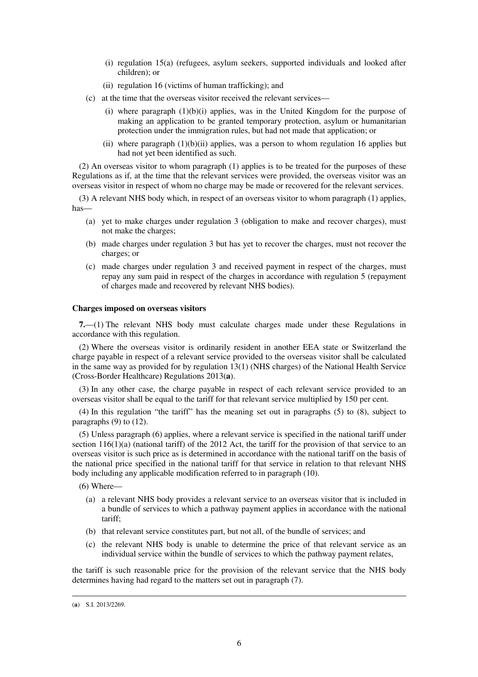- (i) regulation 15(a) (refugees, asylum seekers, supported individuals and looked after children); or
- (ii) regulation 16 (victims of human trafficking); and
- (c) at the time that the overseas visitor received the relevant services—
	- (i) where paragraph  $(1)(b)(i)$  applies, was in the United Kingdom for the purpose of making an application to be granted temporary protection, asylum or humanitarian protection under the immigration rules, but had not made that application; or
	- (ii) where paragraph  $(1)(b)(ii)$  applies, was a person to whom regulation 16 applies but had not yet been identified as such.

(2) An overseas visitor to whom paragraph (1) applies is to be treated for the purposes of these Regulations as if, at the time that the relevant services were provided, the overseas visitor was an overseas visitor in respect of whom no charge may be made or recovered for the relevant services.

(3) A relevant NHS body which, in respect of an overseas visitor to whom paragraph (1) applies, has—

- (a) yet to make charges under regulation 3 (obligation to make and recover charges), must not make the charges;
- (b) made charges under regulation 3 but has yet to recover the charges, must not recover the charges; or
- (c) made charges under regulation 3 and received payment in respect of the charges, must repay any sum paid in respect of the charges in accordance with regulation 5 (repayment of charges made and recovered by relevant NHS bodies).

#### **Charges imposed on overseas visitors**

**7.**—(1) The relevant NHS body must calculate charges made under these Regulations in accordance with this regulation.

(2) Where the overseas visitor is ordinarily resident in another EEA state or Switzerland the charge payable in respect of a relevant service provided to the overseas visitor shall be calculated in the same way as provided for by regulation 13(1) (NHS charges) of the National Health Service (Cross-Border Healthcare) Regulations 2013(**a**).

(3) In any other case, the charge payable in respect of each relevant service provided to an overseas visitor shall be equal to the tariff for that relevant service multiplied by 150 per cent.

(4) In this regulation "the tariff" has the meaning set out in paragraphs (5) to (8), subject to paragraphs (9) to (12).

(5) Unless paragraph (6) applies, where a relevant service is specified in the national tariff under section  $116(1)(a)$  (national tariff) of the 2012 Act, the tariff for the provision of that service to an overseas visitor is such price as is determined in accordance with the national tariff on the basis of the national price specified in the national tariff for that service in relation to that relevant NHS body including any applicable modification referred to in paragraph (10).

(6) Where—

- (a) a relevant NHS body provides a relevant service to an overseas visitor that is included in a bundle of services to which a pathway payment applies in accordance with the national tariff;
- (b) that relevant service constitutes part, but not all, of the bundle of services; and
- (c) the relevant NHS body is unable to determine the price of that relevant service as an individual service within the bundle of services to which the pathway payment relates,

the tariff is such reasonable price for the provision of the relevant service that the NHS body determines having had regard to the matters set out in paragraph (7).

<sup>(</sup>**a**) S.I. 2013/2269.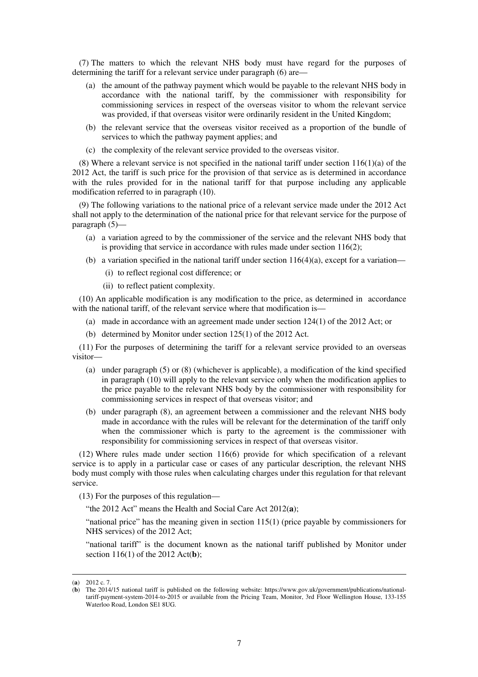(7) The matters to which the relevant NHS body must have regard for the purposes of determining the tariff for a relevant service under paragraph (6) are—

- (a) the amount of the pathway payment which would be payable to the relevant NHS body in accordance with the national tariff, by the commissioner with responsibility for commissioning services in respect of the overseas visitor to whom the relevant service was provided, if that overseas visitor were ordinarily resident in the United Kingdom;
- (b) the relevant service that the overseas visitor received as a proportion of the bundle of services to which the pathway payment applies; and
- (c) the complexity of the relevant service provided to the overseas visitor.

(8) Where a relevant service is not specified in the national tariff under section  $116(1)(a)$  of the 2012 Act, the tariff is such price for the provision of that service as is determined in accordance with the rules provided for in the national tariff for that purpose including any applicable modification referred to in paragraph (10).

(9) The following variations to the national price of a relevant service made under the 2012 Act shall not apply to the determination of the national price for that relevant service for the purpose of paragraph (5)—

- (a) a variation agreed to by the commissioner of the service and the relevant NHS body that is providing that service in accordance with rules made under section 116(2);
- (b) a variation specified in the national tariff under section  $116(4)(a)$ , except for a variation—
	- (i) to reflect regional cost difference; or
	- (ii) to reflect patient complexity.

(10) An applicable modification is any modification to the price, as determined in accordance with the national tariff, of the relevant service where that modification is—

- (a) made in accordance with an agreement made under section 124(1) of the 2012 Act; or
- (b) determined by Monitor under section 125(1) of the 2012 Act.

(11) For the purposes of determining the tariff for a relevant service provided to an overseas visitor—

- (a) under paragraph (5) or (8) (whichever is applicable), a modification of the kind specified in paragraph (10) will apply to the relevant service only when the modification applies to the price payable to the relevant NHS body by the commissioner with responsibility for commissioning services in respect of that overseas visitor; and
- (b) under paragraph (8), an agreement between a commissioner and the relevant NHS body made in accordance with the rules will be relevant for the determination of the tariff only when the commissioner which is party to the agreement is the commissioner with responsibility for commissioning services in respect of that overseas visitor.

(12) Where rules made under section 116(6) provide for which specification of a relevant service is to apply in a particular case or cases of any particular description, the relevant NHS body must comply with those rules when calculating charges under this regulation for that relevant service.

(13) For the purposes of this regulation—

"the 2012 Act" means the Health and Social Care Act 2012(**a**);

"national price" has the meaning given in section 115(1) (price payable by commissioners for NHS services) of the 2012 Act;

"national tariff" is the document known as the national tariff published by Monitor under section 116(1) of the 2012 Act(**b**);

<sup>(</sup>**a**) 2012 c. 7.

<sup>(</sup>**b**) The 2014/15 national tariff is published on the following website: https://www.gov.uk/government/publications/nationaltariff-payment-system-2014-to-2015 or available from the Pricing Team, Monitor, 3rd Floor Wellington House, 133-155 Waterloo Road, London SE1 8UG.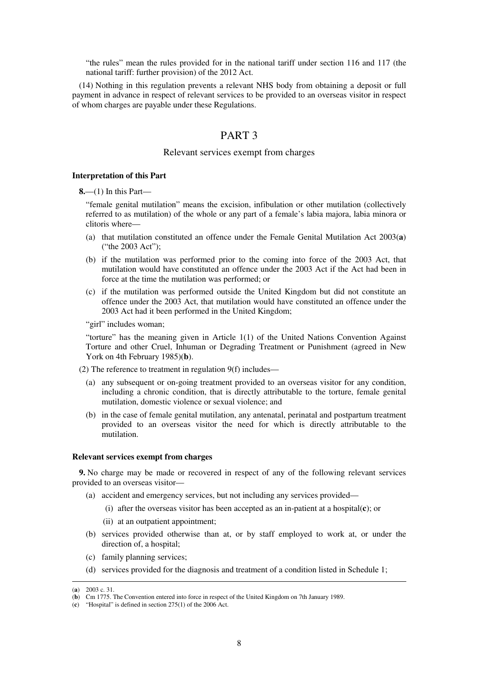"the rules" mean the rules provided for in the national tariff under section 116 and 117 (the national tariff: further provision) of the 2012 Act.

(14) Nothing in this regulation prevents a relevant NHS body from obtaining a deposit or full payment in advance in respect of relevant services to be provided to an overseas visitor in respect of whom charges are payable under these Regulations.

# PART 3

#### Relevant services exempt from charges

#### **Interpretation of this Part**

**8.**—(1) In this Part—

"female genital mutilation" means the excision, infibulation or other mutilation (collectively referred to as mutilation) of the whole or any part of a female's labia majora, labia minora or clitoris where—

- (a) that mutilation constituted an offence under the Female Genital Mutilation Act 2003(**a**) ("the 2003 Act");
- (b) if the mutilation was performed prior to the coming into force of the 2003 Act, that mutilation would have constituted an offence under the 2003 Act if the Act had been in force at the time the mutilation was performed; or
- (c) if the mutilation was performed outside the United Kingdom but did not constitute an offence under the 2003 Act, that mutilation would have constituted an offence under the 2003 Act had it been performed in the United Kingdom;

"girl" includes woman;

"torture" has the meaning given in Article 1(1) of the United Nations Convention Against Torture and other Cruel, Inhuman or Degrading Treatment or Punishment (agreed in New York on 4th February 1985)(**b**).

(2) The reference to treatment in regulation 9(f) includes—

- (a) any subsequent or on-going treatment provided to an overseas visitor for any condition, including a chronic condition, that is directly attributable to the torture, female genital mutilation, domestic violence or sexual violence; and
- (b) in the case of female genital mutilation, any antenatal, perinatal and postpartum treatment provided to an overseas visitor the need for which is directly attributable to the mutilation.

#### **Relevant services exempt from charges**

**9.** No charge may be made or recovered in respect of any of the following relevant services provided to an overseas visitor—

- (a) accident and emergency services, but not including any services provided—
	- (i) after the overseas visitor has been accepted as an in-patient at a hospital(**c**); or
	- (ii) at an outpatient appointment;
- (b) services provided otherwise than at, or by staff employed to work at, or under the direction of, a hospital;
- (c) family planning services;
- (d) services provided for the diagnosis and treatment of a condition listed in Schedule 1;

<sup>(</sup>**a**) 2003 c. 31.

<sup>(</sup>**b**) Cm 1775. The Convention entered into force in respect of the United Kingdom on 7th January 1989.

<sup>(</sup>**c**) "Hospital" is defined in section 275(1) of the 2006 Act.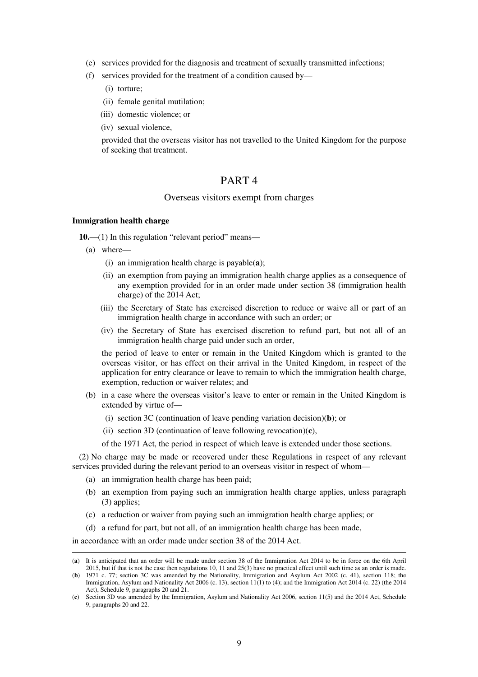- (e) services provided for the diagnosis and treatment of sexually transmitted infections;
- (f) services provided for the treatment of a condition caused by—
	- (i) torture;
	- (ii) female genital mutilation;
	- (iii) domestic violence; or
	- (iv) sexual violence,

provided that the overseas visitor has not travelled to the United Kingdom for the purpose of seeking that treatment.

### PART 4

### Overseas visitors exempt from charges

#### **Immigration health charge**

**10.—(1)** In this regulation "relevant period" means—

(a) where—

<u>.</u>

- (i) an immigration health charge is payable(**a**);
- (ii) an exemption from paying an immigration health charge applies as a consequence of any exemption provided for in an order made under section 38 (immigration health charge) of the 2014 Act;
- (iii) the Secretary of State has exercised discretion to reduce or waive all or part of an immigration health charge in accordance with such an order; or
- (iv) the Secretary of State has exercised discretion to refund part, but not all of an immigration health charge paid under such an order,

the period of leave to enter or remain in the United Kingdom which is granted to the overseas visitor, or has effect on their arrival in the United Kingdom, in respect of the application for entry clearance or leave to remain to which the immigration health charge, exemption, reduction or waiver relates; and

- (b) in a case where the overseas visitor's leave to enter or remain in the United Kingdom is extended by virtue of—
	- (i) section 3C (continuation of leave pending variation decision)(**b**); or
	- (ii) section 3D (continuation of leave following revocation)(**c**),

of the 1971 Act, the period in respect of which leave is extended under those sections.

(2) No charge may be made or recovered under these Regulations in respect of any relevant services provided during the relevant period to an overseas visitor in respect of whom—

- (a) an immigration health charge has been paid;
- (b) an exemption from paying such an immigration health charge applies, unless paragraph (3) applies;
- (c) a reduction or waiver from paying such an immigration health charge applies; or
- (d) a refund for part, but not all, of an immigration health charge has been made,

in accordance with an order made under section 38 of the 2014 Act.

<sup>(</sup>**a**) It is anticipated that an order will be made under section 38 of the Immigration Act 2014 to be in force on the 6th April 2015, but if that is not the case then regulations 10, 11 and 25(3) have no practical effect until such time as an order is made.

<sup>(</sup>**b**) 1971 c. 77; section 3C was amended by the Nationality, Immigration and Asylum Act 2002 (c. 41), section 118; the Immigration, Asylum and Nationality Act 2006 (c. 13), section 11(1) to (4); and the Immigration Act 2014 (c. 22) (the 2014 Act), Schedule 9, paragraphs 20 and 21.

<sup>(</sup>**c**) Section 3D was amended by the Immigration, Asylum and Nationality Act 2006, section 11(5) and the 2014 Act, Schedule 9, paragraphs 20 and 22.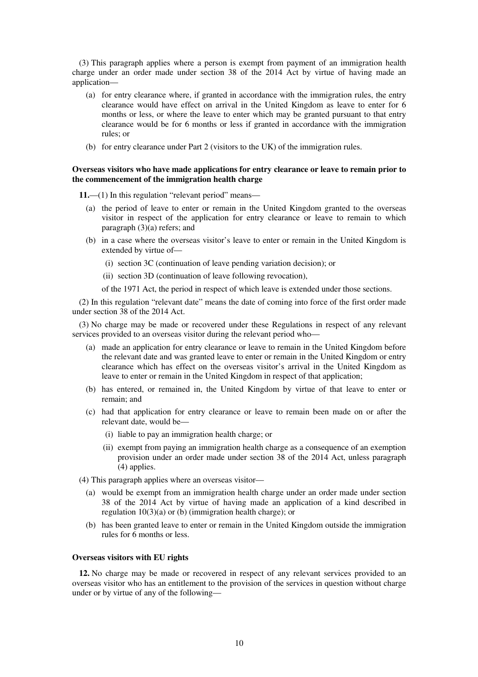(3) This paragraph applies where a person is exempt from payment of an immigration health charge under an order made under section 38 of the 2014 Act by virtue of having made an application—

- (a) for entry clearance where, if granted in accordance with the immigration rules, the entry clearance would have effect on arrival in the United Kingdom as leave to enter for 6 months or less, or where the leave to enter which may be granted pursuant to that entry clearance would be for 6 months or less if granted in accordance with the immigration rules; or
- (b) for entry clearance under Part 2 (visitors to the UK) of the immigration rules.

#### **Overseas visitors who have made applications for entry clearance or leave to remain prior to the commencement of the immigration health charge**

**11.**—(1) In this regulation "relevant period" means—

- (a) the period of leave to enter or remain in the United Kingdom granted to the overseas visitor in respect of the application for entry clearance or leave to remain to which paragraph (3)(a) refers; and
- (b) in a case where the overseas visitor's leave to enter or remain in the United Kingdom is extended by virtue of—
	- (i) section 3C (continuation of leave pending variation decision); or
	- (ii) section 3D (continuation of leave following revocation),

of the 1971 Act, the period in respect of which leave is extended under those sections.

(2) In this regulation "relevant date" means the date of coming into force of the first order made under section 38 of the 2014 Act.

(3) No charge may be made or recovered under these Regulations in respect of any relevant services provided to an overseas visitor during the relevant period who—

- (a) made an application for entry clearance or leave to remain in the United Kingdom before the relevant date and was granted leave to enter or remain in the United Kingdom or entry clearance which has effect on the overseas visitor's arrival in the United Kingdom as leave to enter or remain in the United Kingdom in respect of that application;
- (b) has entered, or remained in, the United Kingdom by virtue of that leave to enter or remain; and
- (c) had that application for entry clearance or leave to remain been made on or after the relevant date, would be—
	- (i) liable to pay an immigration health charge; or
	- (ii) exempt from paying an immigration health charge as a consequence of an exemption provision under an order made under section 38 of the 2014 Act, unless paragraph (4) applies.

(4) This paragraph applies where an overseas visitor—

- (a) would be exempt from an immigration health charge under an order made under section 38 of the 2014 Act by virtue of having made an application of a kind described in regulation 10(3)(a) or (b) (immigration health charge); or
- (b) has been granted leave to enter or remain in the United Kingdom outside the immigration rules for 6 months or less.

#### **Overseas visitors with EU rights**

**12.** No charge may be made or recovered in respect of any relevant services provided to an overseas visitor who has an entitlement to the provision of the services in question without charge under or by virtue of any of the following—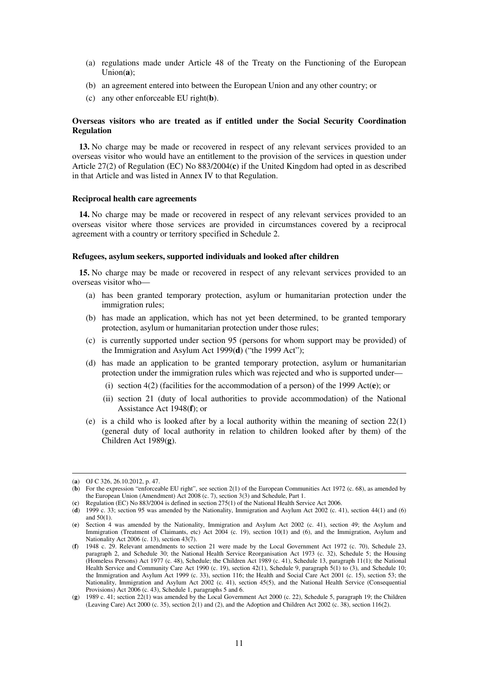- (a) regulations made under Article 48 of the Treaty on the Functioning of the European Union(**a**);
- (b) an agreement entered into between the European Union and any other country; or
- (c) any other enforceable EU right(**b**).

### **Overseas visitors who are treated as if entitled under the Social Security Coordination Regulation**

**13.** No charge may be made or recovered in respect of any relevant services provided to an overseas visitor who would have an entitlement to the provision of the services in question under Article 27(2) of Regulation (EC) No 883/2004(**c**) if the United Kingdom had opted in as described in that Article and was listed in Annex IV to that Regulation.

#### **Reciprocal health care agreements**

**14.** No charge may be made or recovered in respect of any relevant services provided to an overseas visitor where those services are provided in circumstances covered by a reciprocal agreement with a country or territory specified in Schedule 2.

#### **Refugees, asylum seekers, supported individuals and looked after children**

**15.** No charge may be made or recovered in respect of any relevant services provided to an overseas visitor who—

- (a) has been granted temporary protection, asylum or humanitarian protection under the immigration rules;
- (b) has made an application, which has not yet been determined, to be granted temporary protection, asylum or humanitarian protection under those rules;
- (c) is currently supported under section 95 (persons for whom support may be provided) of the Immigration and Asylum Act 1999(**d**) ("the 1999 Act");
- (d) has made an application to be granted temporary protection, asylum or humanitarian protection under the immigration rules which was rejected and who is supported under—
	- (i) section 4(2) (facilities for the accommodation of a person) of the 1999 Act(**e**); or
	- (ii) section 21 (duty of local authorities to provide accommodation) of the National Assistance Act 1948(**f**); or
- (e) is a child who is looked after by a local authority within the meaning of section  $22(1)$ (general duty of local authority in relation to children looked after by them) of the Children Act 1989(**g**).

<sup>(</sup>**a**) OJ C 326, 26.10.2012, p. 47.

<sup>(</sup>**b**) For the expression "enforceable EU right", see section 2(1) of the European Communities Act 1972 (c. 68), as amended by the European Union (Amendment) Act 2008 (c. 7), section 3(3) and Schedule, Part 1.

<sup>(</sup>**c**) Regulation (EC) No 883/2004 is defined in section 275(1) of the National Health Service Act 2006.

<sup>(</sup>**d**) 1999 c. 33; section 95 was amended by the Nationality, Immigration and Asylum Act 2002 (c. 41), section 44(1) and (6) and 50(1).

<sup>(</sup>**e**) Section 4 was amended by the Nationality, Immigration and Asylum Act 2002 (c. 41), section 49; the Asylum and Immigration (Treatment of Claimants, etc) Act 2004 (c. 19), section 10(1) and (6), and the Immigration, Asylum and Nationality Act 2006 (c. 13), section 43(7).

<sup>(</sup>**f**) 1948 c. 29. Relevant amendments to section 21 were made by the Local Government Act 1972 (c. 70), Schedule 23, paragraph 2, and Schedule 30; the National Health Service Reorganisation Act 1973 (c. 32), Schedule 5; the Housing (Homeless Persons) Act 1977 (c. 48), Schedule; the Children Act 1989 (c. 41), Schedule 13, paragraph 11(1); the National Health Service and Community Care Act 1990 (c. 19), section 42(1), Schedule 9, paragraph 5(1) to (3), and Schedule 10; the Immigration and Asylum Act 1999 (c. 33), section 116; the Health and Social Care Act 2001 (c. 15), section 53; the Nationality, Immigration and Asylum Act 2002 (c. 41), section 45(5), and the National Health Service (Consequential Provisions) Act 2006 (c. 43), Schedule 1, paragraphs 5 and 6.

<sup>(</sup>**g**) 1989 c. 41; section 22(1) was amended by the Local Government Act 2000 (c. 22), Schedule 5, paragraph 19; the Children (Leaving Care) Act 2000 (c. 35), section 2(1) and (2), and the Adoption and Children Act 2002 (c. 38), section 116(2).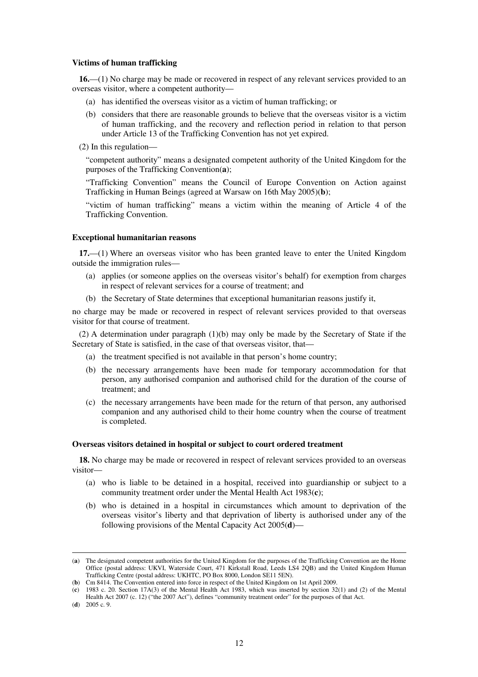#### **Victims of human trafficking**

**16.**—(1) No charge may be made or recovered in respect of any relevant services provided to an overseas visitor, where a competent authority—

- (a) has identified the overseas visitor as a victim of human trafficking; or
- (b) considers that there are reasonable grounds to believe that the overseas visitor is a victim of human trafficking, and the recovery and reflection period in relation to that person under Article 13 of the Trafficking Convention has not yet expired.

(2) In this regulation—

"competent authority" means a designated competent authority of the United Kingdom for the purposes of the Trafficking Convention(**a**);

"Trafficking Convention" means the Council of Europe Convention on Action against Trafficking in Human Beings (agreed at Warsaw on 16th May 2005)(**b**);

"victim of human trafficking" means a victim within the meaning of Article 4 of the Trafficking Convention.

#### **Exceptional humanitarian reasons**

**17.**—(1) Where an overseas visitor who has been granted leave to enter the United Kingdom outside the immigration rules—

- (a) applies (or someone applies on the overseas visitor's behalf) for exemption from charges in respect of relevant services for a course of treatment; and
- (b) the Secretary of State determines that exceptional humanitarian reasons justify it,

no charge may be made or recovered in respect of relevant services provided to that overseas visitor for that course of treatment.

(2) A determination under paragraph (1)(b) may only be made by the Secretary of State if the Secretary of State is satisfied, in the case of that overseas visitor, that—

- (a) the treatment specified is not available in that person's home country;
- (b) the necessary arrangements have been made for temporary accommodation for that person, any authorised companion and authorised child for the duration of the course of treatment; and
- (c) the necessary arrangements have been made for the return of that person, any authorised companion and any authorised child to their home country when the course of treatment is completed.

#### **Overseas visitors detained in hospital or subject to court ordered treatment**

**18.** No charge may be made or recovered in respect of relevant services provided to an overseas visitor—

- (a) who is liable to be detained in a hospital, received into guardianship or subject to a community treatment order under the Mental Health Act 1983(**c**);
- (b) who is detained in a hospital in circumstances which amount to deprivation of the overseas visitor's liberty and that deprivation of liberty is authorised under any of the following provisions of the Mental Capacity Act 2005(**d**)—

<sup>(</sup>**a**) The designated competent authorities for the United Kingdom for the purposes of the Trafficking Convention are the Home Office (postal address: UKVI, Waterside Court, 471 Kirkstall Road, Leeds LS4 2QB) and the United Kingdom Human Trafficking Centre (postal address: UKHTC, PO Box 8000, London SE11 5EN).

<sup>(</sup>**b**) Cm 8414. The Convention entered into force in respect of the United Kingdom on 1st April 2009.

<sup>(</sup>**c**) 1983 c. 20. Section 17A(3) of the Mental Health Act 1983, which was inserted by section 32(1) and (2) of the Mental Health Act 2007 (c. 12) ("the 2007 Act"), defines "community treatment order" for the purposes of that Act.

<sup>(</sup>**d**) 2005 c. 9.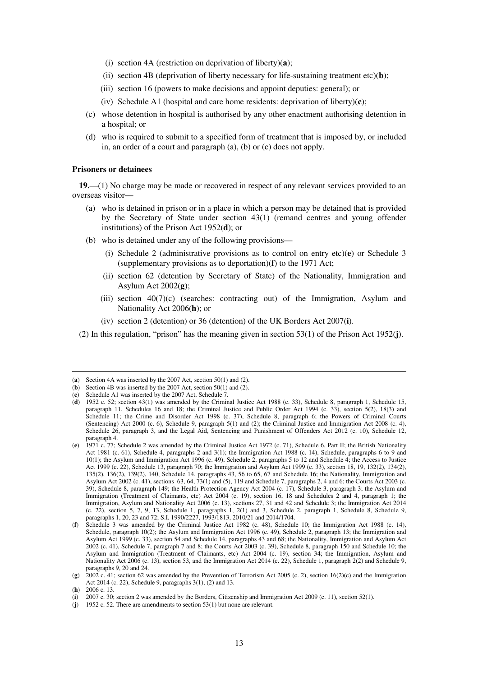- (i) section 4A (restriction on deprivation of liberty)(**a**);
- (ii) section 4B (deprivation of liberty necessary for life-sustaining treatment etc)(**b**);
- (iii) section 16 (powers to make decisions and appoint deputies: general); or
- (iv) Schedule A1 (hospital and care home residents: deprivation of liberty)(**c**);
- (c) whose detention in hospital is authorised by any other enactment authorising detention in a hospital; or
- (d) who is required to submit to a specified form of treatment that is imposed by, or included in, an order of a court and paragraph (a), (b) or (c) does not apply.

#### **Prisoners or detainees**

**19.**—(1) No charge may be made or recovered in respect of any relevant services provided to an overseas visitor—

- (a) who is detained in prison or in a place in which a person may be detained that is provided by the Secretary of State under section 43(1) (remand centres and young offender institutions) of the Prison Act 1952(**d**); or
- (b) who is detained under any of the following provisions—
	- (i) Schedule 2 (administrative provisions as to control on entry etc)(**e**) or Schedule 3 (supplementary provisions as to deportation)(**f**) to the 1971 Act;
	- (ii) section 62 (detention by Secretary of State) of the Nationality, Immigration and Asylum Act 2002(**g**);
	- (iii) section  $40(7)(c)$  (searches: contracting out) of the Immigration, Asylum and Nationality Act 2006(**h**); or
	- (iv) section 2 (detention) or 36 (detention) of the UK Borders Act 2007(**i**).
- (2) In this regulation, "prison" has the meaning given in section 53(1) of the Prison Act 1952(**j**).

-

<sup>(</sup>**a**) Section 4A was inserted by the 2007 Act, section 50(1) and (2).

<sup>(</sup>**b**) Section 4B was inserted by the 2007 Act, section 50(1) and (2).

<sup>(</sup>**c**) Schedule A1 was inserted by the 2007 Act, Schedule 7.

<sup>(</sup>**d**) 1952 c. 52; section 43(1) was amended by the Criminal Justice Act 1988 (c. 33), Schedule 8, paragraph 1, Schedule 15, paragraph 11, Schedules 16 and 18; the Criminal Justice and Public Order Act 1994 (c. 33), section 5(2), 18(3) and Schedule 11; the Crime and Disorder Act 1998 (c. 37), Schedule 8, paragraph 6; the Powers of Criminal Courts (Sentencing) Act 2000 (c. 6), Schedule 9, paragraph 5(1) and (2); the Criminal Justice and Immigration Act 2008 (c. 4), Schedule 26, paragraph 3, and the Legal Aid, Sentencing and Punishment of Offenders Act 2012 (c. 10), Schedule 12, paragraph 4.

<sup>(</sup>**e**) 1971 c. 77; Schedule 2 was amended by the Criminal Justice Act 1972 (c. 71), Schedule 6, Part II; the British Nationality Act 1981 (c. 61), Schedule 4, paragraphs 2 and 3(1); the Immigration Act 1988 (c. 14), Schedule, paragraphs 6 to 9 and 10(1); the Asylum and Immigration Act 1996 (c. 49), Schedule 2, paragraphs 5 to 12 and Schedule 4; the Access to Justice Act 1999 (c. 22), Schedule 13, paragraph 70; the Immigration and Asylum Act 1999 (c. 33), section 18, 19, 132(2), 134(2), 135(2), 136(2), 139(2), 140, Schedule 14, paragraphs 43, 56 to 65, 67 and Schedule 16; the Nationality, Immigration and Asylum Act 2002 (c. 41), sections 63, 64, 73(1) and (5), 119 and Schedule 7, paragraphs 2, 4 and 6; the Courts Act 2003 (c. 39), Schedule 8, paragraph 149; the Health Protection Agency Act 2004 (c. 17), Schedule 3, paragraph 3; the Asylum and Immigration (Treatment of Claimants, etc) Act 2004 (c. 19), section 16, 18 and Schedules 2 and 4, paragraph 1; the Immigration, Asylum and Nationality Act 2006 (c. 13), sections 27, 31 and 42 and Schedule 3; the Immigration Act 2014 (c. 22), section 5, 7, 9, 13, Schedule 1, paragraphs 1, 2(1) and 3, Schedule 2, paragraph 1, Schedule 8, Schedule 9, paragraphs 1, 20, 23 and 72; S.I. 1990/2227, 1993/1813, 2010/21 and 2014/1704.

<sup>(</sup>**f**) Schedule 3 was amended by the Criminal Justice Act 1982 (c. 48), Schedule 10; the Immigration Act 1988 (c. 14), Schedule, paragraph 10(2); the Asylum and Immigration Act 1996 (c. 49), Schedule 2, paragraph 13; the Immigration and Asylum Act 1999 (c. 33), section 54 and Schedule 14, paragraphs 43 and 68; the Nationality, Immigration and Asylum Act 2002 (c. 41), Schedule 7, paragraph 7 and 8; the Courts Act 2003 (c. 39), Schedule 8, paragraph 150 and Schedule 10; the Asylum and Immigration (Treatment of Claimants, etc) Act 2004 (c. 19), section 34; the Immigration, Asylum and Nationality Act 2006 (c. 13), section 53, and the Immigration Act 2014 (c. 22), Schedule 1, paragraph 2(2) and Schedule 9, paragraphs 9, 20 and 24.

<sup>(</sup>g)  $2002$  c. 41; section 62 was amended by the Prevention of Terrorism Act 2005 (c. 2), section 16(2)(c) and the Immigration Act 2014 (c. 22), Schedule 9, paragraphs 3(1), (2) and 13.

<sup>(</sup>**h**) 2006 c. 13.

<sup>(</sup>**i**) 2007 c. 30; section 2 was amended by the Borders, Citizenship and Immigration Act 2009 (c. 11), section 52(1).

<sup>(</sup>**j**) 1952 c. 52. There are amendments to section 53(1) but none are relevant.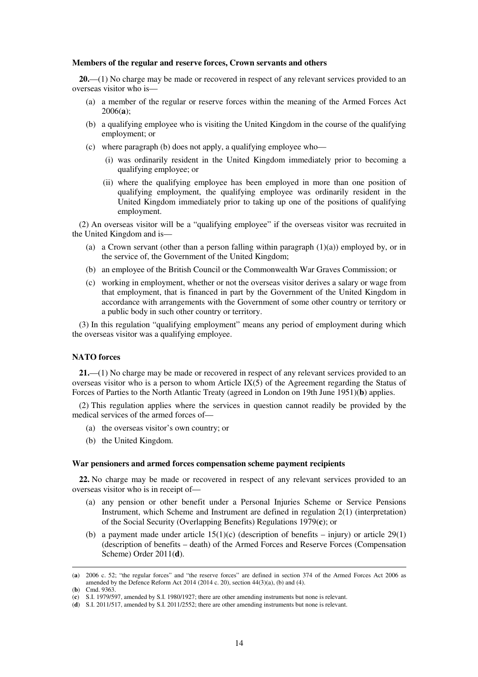#### **Members of the regular and reserve forces, Crown servants and others**

**20.**—(1) No charge may be made or recovered in respect of any relevant services provided to an overseas visitor who is—

- (a) a member of the regular or reserve forces within the meaning of the Armed Forces Act 2006(**a**);
- (b) a qualifying employee who is visiting the United Kingdom in the course of the qualifying employment; or
- (c) where paragraph (b) does not apply, a qualifying employee who—
	- (i) was ordinarily resident in the United Kingdom immediately prior to becoming a qualifying employee; or
	- (ii) where the qualifying employee has been employed in more than one position of qualifying employment, the qualifying employee was ordinarily resident in the United Kingdom immediately prior to taking up one of the positions of qualifying employment.

(2) An overseas visitor will be a "qualifying employee" if the overseas visitor was recruited in the United Kingdom and is—

- (a) a Crown servant (other than a person falling within paragraph  $(1)(a)$ ) employed by, or in the service of, the Government of the United Kingdom;
- (b) an employee of the British Council or the Commonwealth War Graves Commission; or
- (c) working in employment, whether or not the overseas visitor derives a salary or wage from that employment, that is financed in part by the Government of the United Kingdom in accordance with arrangements with the Government of some other country or territory or a public body in such other country or territory.

(3) In this regulation "qualifying employment" means any period of employment during which the overseas visitor was a qualifying employee.

### **NATO forces**

**21.**—(1) No charge may be made or recovered in respect of any relevant services provided to an overseas visitor who is a person to whom Article  $IX(5)$  of the Agreement regarding the Status of Forces of Parties to the North Atlantic Treaty (agreed in London on 19th June 1951)(**b**) applies.

(2) This regulation applies where the services in question cannot readily be provided by the medical services of the armed forces of—

- (a) the overseas visitor's own country; or
- (b) the United Kingdom.

#### **War pensioners and armed forces compensation scheme payment recipients**

**22.** No charge may be made or recovered in respect of any relevant services provided to an overseas visitor who is in receipt of—

- (a) any pension or other benefit under a Personal Injuries Scheme or Service Pensions Instrument, which Scheme and Instrument are defined in regulation 2(1) (interpretation) of the Social Security (Overlapping Benefits) Regulations 1979(**c**); or
- (b) a payment made under article  $15(1)(c)$  (description of benefits injury) or article 29(1) (description of benefits – death) of the Armed Forces and Reserve Forces (Compensation Scheme) Order 2011(**d**).

<sup>(</sup>**a**) 2006 c. 52; "the regular forces" and "the reserve forces" are defined in section 374 of the Armed Forces Act 2006 as amended by the Defence Reform Act 2014 (2014 c. 20), section 44(3)(a), (b) and (4).

<sup>(</sup>**b**) Cmd. 9363.

<sup>(</sup>**c**) S.I. 1979/597, amended by S.I. 1980/1927; there are other amending instruments but none is relevant.

<sup>(</sup>**d**) S.I. 2011/517, amended by S.I. 2011/2552; there are other amending instruments but none is relevant.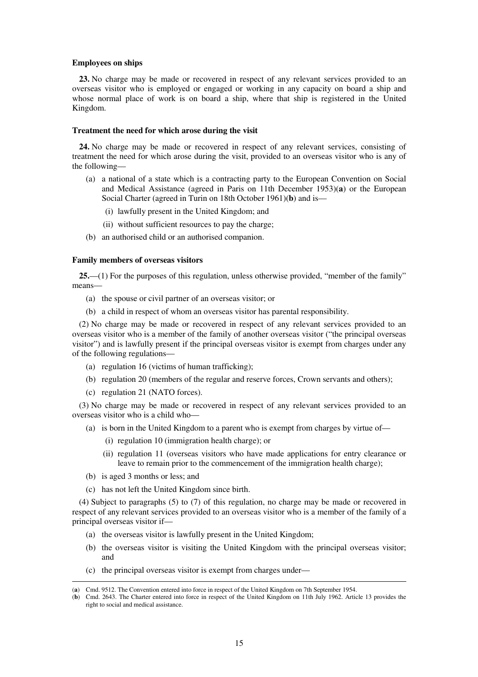#### **Employees on ships**

**23.** No charge may be made or recovered in respect of any relevant services provided to an overseas visitor who is employed or engaged or working in any capacity on board a ship and whose normal place of work is on board a ship, where that ship is registered in the United Kingdom.

#### **Treatment the need for which arose during the visit**

**24.** No charge may be made or recovered in respect of any relevant services, consisting of treatment the need for which arose during the visit, provided to an overseas visitor who is any of the following—

- (a) a national of a state which is a contracting party to the European Convention on Social and Medical Assistance (agreed in Paris on 11th December 1953)(**a**) or the European Social Charter (agreed in Turin on 18th October 1961)(**b**) and is—
	- (i) lawfully present in the United Kingdom; and
	- (ii) without sufficient resources to pay the charge;
- (b) an authorised child or an authorised companion.

#### **Family members of overseas visitors**

**25.**—(1) For the purposes of this regulation, unless otherwise provided, "member of the family" means—

- (a) the spouse or civil partner of an overseas visitor; or
- (b) a child in respect of whom an overseas visitor has parental responsibility.

(2) No charge may be made or recovered in respect of any relevant services provided to an overseas visitor who is a member of the family of another overseas visitor ("the principal overseas visitor") and is lawfully present if the principal overseas visitor is exempt from charges under any of the following regulations—

- (a) regulation 16 (victims of human trafficking);
- (b) regulation 20 (members of the regular and reserve forces, Crown servants and others);
- (c) regulation 21 (NATO forces).

(3) No charge may be made or recovered in respect of any relevant services provided to an overseas visitor who is a child who—

- (a) is born in the United Kingdom to a parent who is exempt from charges by virtue of—
	- (i) regulation 10 (immigration health charge); or
	- (ii) regulation 11 (overseas visitors who have made applications for entry clearance or leave to remain prior to the commencement of the immigration health charge);
- (b) is aged 3 months or less; and

<u>.</u>

(c) has not left the United Kingdom since birth.

(4) Subject to paragraphs (5) to (7) of this regulation, no charge may be made or recovered in respect of any relevant services provided to an overseas visitor who is a member of the family of a principal overseas visitor if—

- (a) the overseas visitor is lawfully present in the United Kingdom;
- (b) the overseas visitor is visiting the United Kingdom with the principal overseas visitor; and
- (c) the principal overseas visitor is exempt from charges under—

<sup>(</sup>**a**) Cmd. 9512. The Convention entered into force in respect of the United Kingdom on 7th September 1954.

<sup>(</sup>**b**) Cmd. 2643. The Charter entered into force in respect of the United Kingdom on 11th July 1962. Article 13 provides the right to social and medical assistance.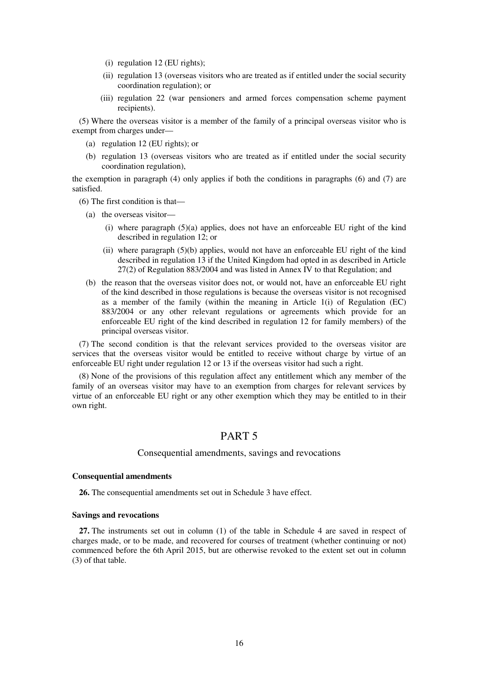- (i) regulation 12 (EU rights);
- (ii) regulation 13 (overseas visitors who are treated as if entitled under the social security coordination regulation); or
- (iii) regulation 22 (war pensioners and armed forces compensation scheme payment recipients).

(5) Where the overseas visitor is a member of the family of a principal overseas visitor who is exempt from charges under—

- (a) regulation 12 (EU rights); or
- (b) regulation 13 (overseas visitors who are treated as if entitled under the social security coordination regulation),

the exemption in paragraph (4) only applies if both the conditions in paragraphs (6) and (7) are satisfied.

(6) The first condition is that—

- (a) the overseas visitor—
	- (i) where paragraph (5)(a) applies, does not have an enforceable EU right of the kind described in regulation 12; or
	- (ii) where paragraph (5)(b) applies, would not have an enforceable EU right of the kind described in regulation 13 if the United Kingdom had opted in as described in Article  $27(2)$  of Regulation 883/2004 and was listed in Annex IV to that Regulation; and
- (b) the reason that the overseas visitor does not, or would not, have an enforceable EU right of the kind described in those regulations is because the overseas visitor is not recognised as a member of the family (within the meaning in Article  $1(i)$  of Regulation (EC) 883/2004 or any other relevant regulations or agreements which provide for an enforceable EU right of the kind described in regulation 12 for family members) of the principal overseas visitor.

(7) The second condition is that the relevant services provided to the overseas visitor are services that the overseas visitor would be entitled to receive without charge by virtue of an enforceable EU right under regulation 12 or 13 if the overseas visitor had such a right.

(8) None of the provisions of this regulation affect any entitlement which any member of the family of an overseas visitor may have to an exemption from charges for relevant services by virtue of an enforceable EU right or any other exemption which they may be entitled to in their own right.

# PART 5

#### Consequential amendments, savings and revocations

#### **Consequential amendments**

**26.** The consequential amendments set out in Schedule 3 have effect.

#### **Savings and revocations**

**27.** The instruments set out in column (1) of the table in Schedule 4 are saved in respect of charges made, or to be made, and recovered for courses of treatment (whether continuing or not) commenced before the 6th April 2015, but are otherwise revoked to the extent set out in column (3) of that table.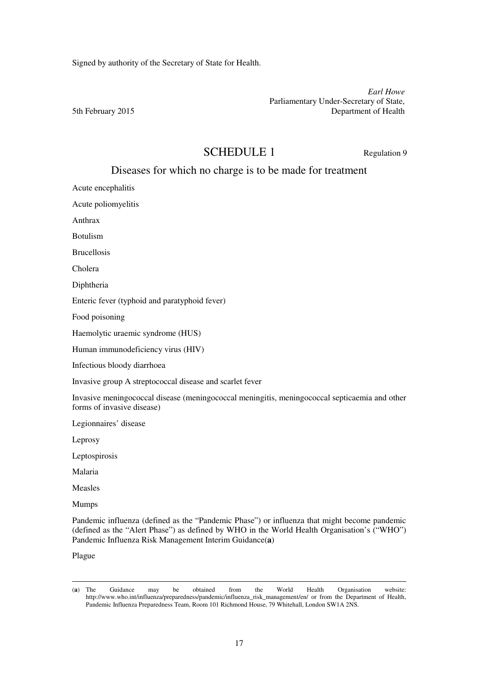Signed by authority of the Secretary of State for Health.

*Earl Howe*  Parliamentary Under-Secretary of State, 5th February 2015 Department of Health

# SCHEDULE 1 Regulation 9

# Diseases for which no charge is to be made for treatment

Acute encephalitis

Acute poliomyelitis

Anthrax

Botulism

Brucellosis

Cholera

Diphtheria

Enteric fever (typhoid and paratyphoid fever)

Food poisoning

Haemolytic uraemic syndrome (HUS)

Human immunodeficiency virus (HIV)

Infectious bloody diarrhoea

Invasive group A streptococcal disease and scarlet fever

Invasive meningococcal disease (meningococcal meningitis, meningococcal septicaemia and other forms of invasive disease)

Legionnaires' disease

Leprosy

Leptospirosis

Malaria

Measles

Mumps

Pandemic influenza (defined as the "Pandemic Phase") or influenza that might become pandemic (defined as the "Alert Phase") as defined by WHO in the World Health Organisation's ("WHO") Pandemic Influenza Risk Management Interim Guidance(**a**)

Plague

<sup>(</sup>**a**) The Guidance may be obtained from the World Health Organisation website: http://www.who.int/influenza/preparedness/pandemic/influenza\_risk\_management/en/ or from the Department of Health, Pandemic Influenza Preparedness Team, Room 101 Richmond House, 79 Whitehall, London SW1A 2NS.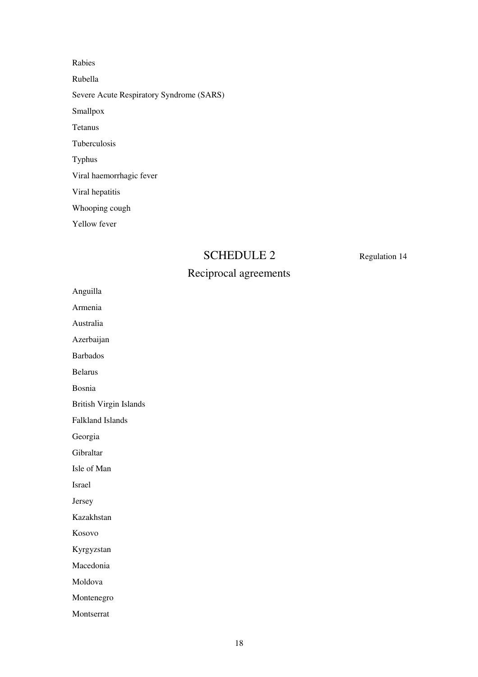Rabies Rubella Severe Acute Respiratory Syndrome (SARS) Smallpox Tetanus Tuberculosis Typhus Viral haemorrhagic fever Viral hepatitis Whooping cough Yellow fever

# SCHEDULE 2 Regulation 14

# Reciprocal agreements

Anguilla

Armenia

Australia

Azerbaijan

Barbados

Belarus

Bosnia

British Virgin Islands

Falkland Islands

Georgia

Gibraltar

Isle of Man

Israel

Jersey

Kazakhstan

Kosovo

Kyrgyzstan

Macedonia

Moldova

Montenegro

Montserrat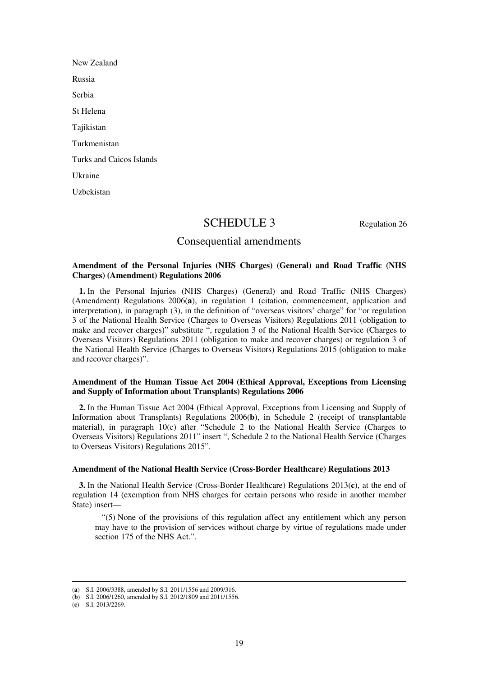New Zealand Russia Serbia St Helena Tajikistan Turkmenistan Turks and Caicos Islands Ukraine Uzbekistan

# SCHEDULE 3 Regulation 26

## Consequential amendments

#### **Amendment of the Personal Injuries (NHS Charges) (General) and Road Traffic (NHS Charges) (Amendment) Regulations 2006**

**1.** In the Personal Injuries (NHS Charges) (General) and Road Traffic (NHS Charges) (Amendment) Regulations 2006(**a**), in regulation 1 (citation, commencement, application and interpretation), in paragraph (3), in the definition of "overseas visitors' charge" for "or regulation 3 of the National Health Service (Charges to Overseas Visitors) Regulations 2011 (obligation to make and recover charges)" substitute ", regulation 3 of the National Health Service (Charges to Overseas Visitors) Regulations 2011 (obligation to make and recover charges) or regulation 3 of the National Health Service (Charges to Overseas Visitors) Regulations 2015 (obligation to make and recover charges)".

#### **Amendment of the Human Tissue Act 2004 (Ethical Approval, Exceptions from Licensing and Supply of Information about Transplants) Regulations 2006**

**2.** In the Human Tissue Act 2004 (Ethical Approval, Exceptions from Licensing and Supply of Information about Transplants) Regulations 2006(**b**), in Schedule 2 (receipt of transplantable material), in paragraph 10(c) after "Schedule 2 to the National Health Service (Charges to Overseas Visitors) Regulations 2011" insert ", Schedule 2 to the National Health Service (Charges to Overseas Visitors) Regulations 2015".

#### **Amendment of the National Health Service (Cross-Border Healthcare) Regulations 2013**

**3.** In the National Health Service (Cross-Border Healthcare) Regulations 2013(**c**), at the end of regulation 14 (exemption from NHS charges for certain persons who reside in another member State) insert—

"(5) None of the provisions of this regulation affect any entitlement which any person may have to the provision of services without charge by virtue of regulations made under section 175 of the NHS Act.".

<sup>(</sup>**a**) S.I. 2006/3388, amended by S.I. 2011/1556 and 2009/316.

<sup>(</sup>**b**) S.I. 2006/1260, amended by S.I. 2012/1809 and 2011/1556.

<sup>(</sup>**c**) S.I. 2013/2269.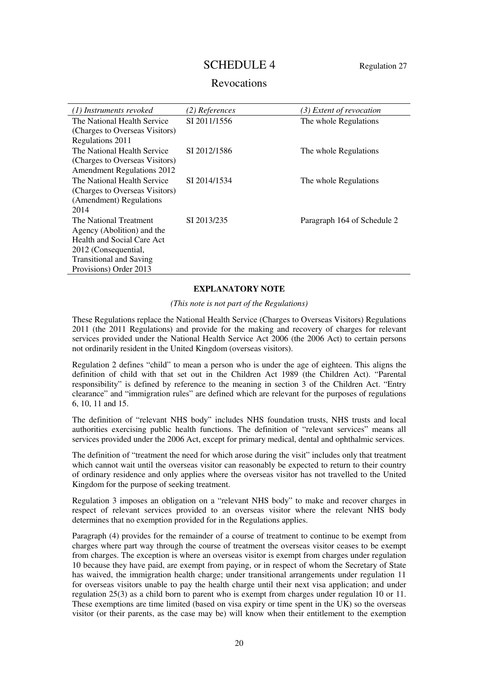# SCHEDULE 4 Regulation 27

## Revocations

| (1) Instruments revoked           | (2) References | (3) Extent of revocation    |
|-----------------------------------|----------------|-----------------------------|
| The National Health Service       | SI 2011/1556   | The whole Regulations       |
| (Charges to Overseas Visitors)    |                |                             |
| Regulations 2011                  |                |                             |
| The National Health Service       | SI 2012/1586   | The whole Regulations       |
| (Charges to Overseas Visitors)    |                |                             |
| <b>Amendment Regulations 2012</b> |                |                             |
| The National Health Service       | SI 2014/1534   | The whole Regulations       |
| (Charges to Overseas Visitors)    |                |                             |
| (Amendment) Regulations           |                |                             |
| 2014                              |                |                             |
| The National Treatment            | SI 2013/235    | Paragraph 164 of Schedule 2 |
| Agency (Abolition) and the        |                |                             |
| Health and Social Care Act        |                |                             |
| 2012 (Consequential,              |                |                             |
| <b>Transitional and Saving</b>    |                |                             |
| Provisions) Order 2013            |                |                             |

### **EXPLANATORY NOTE**

*(This note is not part of the Regulations)* 

These Regulations replace the National Health Service (Charges to Overseas Visitors) Regulations 2011 (the 2011 Regulations) and provide for the making and recovery of charges for relevant services provided under the National Health Service Act 2006 (the 2006 Act) to certain persons not ordinarily resident in the United Kingdom (overseas visitors).

Regulation 2 defines "child" to mean a person who is under the age of eighteen. This aligns the definition of child with that set out in the Children Act 1989 (the Children Act). "Parental responsibility" is defined by reference to the meaning in section 3 of the Children Act. "Entry clearance" and "immigration rules" are defined which are relevant for the purposes of regulations 6, 10, 11 and 15.

The definition of "relevant NHS body" includes NHS foundation trusts, NHS trusts and local authorities exercising public health functions. The definition of "relevant services" means all services provided under the 2006 Act, except for primary medical, dental and ophthalmic services.

The definition of "treatment the need for which arose during the visit" includes only that treatment which cannot wait until the overseas visitor can reasonably be expected to return to their country of ordinary residence and only applies where the overseas visitor has not travelled to the United Kingdom for the purpose of seeking treatment.

Regulation 3 imposes an obligation on a "relevant NHS body" to make and recover charges in respect of relevant services provided to an overseas visitor where the relevant NHS body determines that no exemption provided for in the Regulations applies.

Paragraph (4) provides for the remainder of a course of treatment to continue to be exempt from charges where part way through the course of treatment the overseas visitor ceases to be exempt from charges. The exception is where an overseas visitor is exempt from charges under regulation 10 because they have paid, are exempt from paying, or in respect of whom the Secretary of State has waived, the immigration health charge; under transitional arrangements under regulation 11 for overseas visitors unable to pay the health charge until their next visa application; and under regulation 25(3) as a child born to parent who is exempt from charges under regulation 10 or 11. These exemptions are time limited (based on visa expiry or time spent in the UK) so the overseas visitor (or their parents, as the case may be) will know when their entitlement to the exemption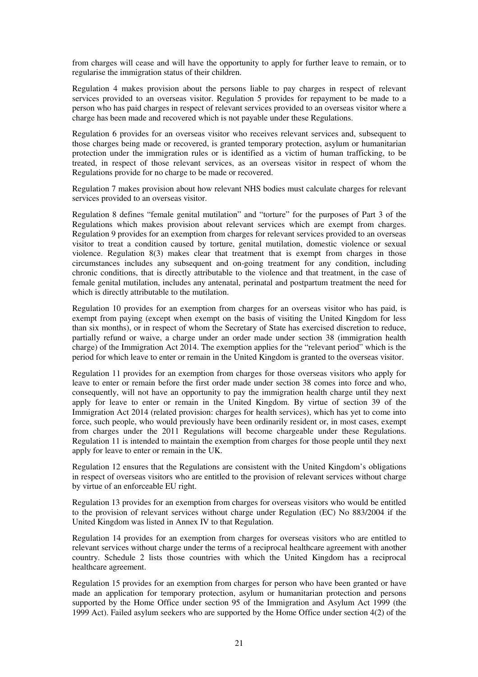from charges will cease and will have the opportunity to apply for further leave to remain, or to regularise the immigration status of their children.

Regulation 4 makes provision about the persons liable to pay charges in respect of relevant services provided to an overseas visitor. Regulation 5 provides for repayment to be made to a person who has paid charges in respect of relevant services provided to an overseas visitor where a charge has been made and recovered which is not payable under these Regulations.

Regulation 6 provides for an overseas visitor who receives relevant services and, subsequent to those charges being made or recovered, is granted temporary protection, asylum or humanitarian protection under the immigration rules or is identified as a victim of human trafficking, to be treated, in respect of those relevant services, as an overseas visitor in respect of whom the Regulations provide for no charge to be made or recovered.

Regulation 7 makes provision about how relevant NHS bodies must calculate charges for relevant services provided to an overseas visitor.

Regulation 8 defines "female genital mutilation" and "torture" for the purposes of Part 3 of the Regulations which makes provision about relevant services which are exempt from charges. Regulation 9 provides for an exemption from charges for relevant services provided to an overseas visitor to treat a condition caused by torture, genital mutilation, domestic violence or sexual violence. Regulation 8(3) makes clear that treatment that is exempt from charges in those circumstances includes any subsequent and on-going treatment for any condition, including chronic conditions, that is directly attributable to the violence and that treatment, in the case of female genital mutilation, includes any antenatal, perinatal and postpartum treatment the need for which is directly attributable to the mutilation.

Regulation 10 provides for an exemption from charges for an overseas visitor who has paid, is exempt from paying (except when exempt on the basis of visiting the United Kingdom for less than six months), or in respect of whom the Secretary of State has exercised discretion to reduce, partially refund or waive, a charge under an order made under section 38 (immigration health charge) of the Immigration Act 2014. The exemption applies for the "relevant period" which is the period for which leave to enter or remain in the United Kingdom is granted to the overseas visitor.

Regulation 11 provides for an exemption from charges for those overseas visitors who apply for leave to enter or remain before the first order made under section 38 comes into force and who, consequently, will not have an opportunity to pay the immigration health charge until they next apply for leave to enter or remain in the United Kingdom. By virtue of section 39 of the Immigration Act 2014 (related provision: charges for health services), which has yet to come into force, such people, who would previously have been ordinarily resident or, in most cases, exempt from charges under the 2011 Regulations will become chargeable under these Regulations. Regulation 11 is intended to maintain the exemption from charges for those people until they next apply for leave to enter or remain in the UK.

Regulation 12 ensures that the Regulations are consistent with the United Kingdom's obligations in respect of overseas visitors who are entitled to the provision of relevant services without charge by virtue of an enforceable EU right.

Regulation 13 provides for an exemption from charges for overseas visitors who would be entitled to the provision of relevant services without charge under Regulation (EC) No 883/2004 if the United Kingdom was listed in Annex IV to that Regulation.

Regulation 14 provides for an exemption from charges for overseas visitors who are entitled to relevant services without charge under the terms of a reciprocal healthcare agreement with another country. Schedule 2 lists those countries with which the United Kingdom has a reciprocal healthcare agreement.

Regulation 15 provides for an exemption from charges for person who have been granted or have made an application for temporary protection, asylum or humanitarian protection and persons supported by the Home Office under section 95 of the Immigration and Asylum Act 1999 (the 1999 Act). Failed asylum seekers who are supported by the Home Office under section 4(2) of the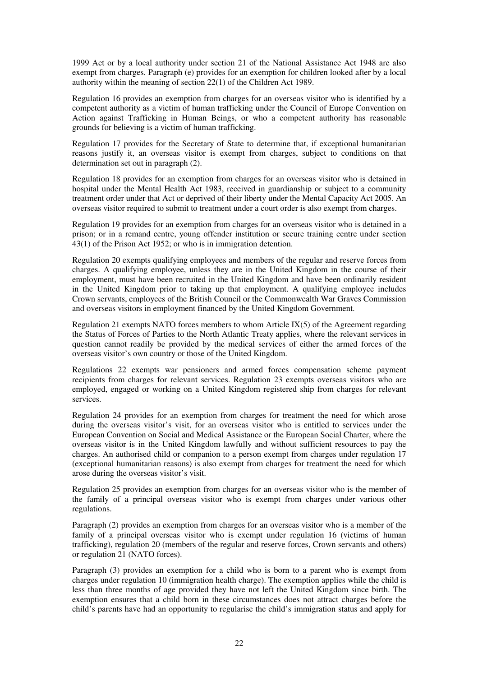1999 Act or by a local authority under section 21 of the National Assistance Act 1948 are also exempt from charges. Paragraph (e) provides for an exemption for children looked after by a local authority within the meaning of section 22(1) of the Children Act 1989.

Regulation 16 provides an exemption from charges for an overseas visitor who is identified by a competent authority as a victim of human trafficking under the Council of Europe Convention on Action against Trafficking in Human Beings, or who a competent authority has reasonable grounds for believing is a victim of human trafficking.

Regulation 17 provides for the Secretary of State to determine that, if exceptional humanitarian reasons justify it, an overseas visitor is exempt from charges, subject to conditions on that determination set out in paragraph (2).

Regulation 18 provides for an exemption from charges for an overseas visitor who is detained in hospital under the Mental Health Act 1983, received in guardianship or subject to a community treatment order under that Act or deprived of their liberty under the Mental Capacity Act 2005. An overseas visitor required to submit to treatment under a court order is also exempt from charges.

Regulation 19 provides for an exemption from charges for an overseas visitor who is detained in a prison; or in a remand centre, young offender institution or secure training centre under section 43(1) of the Prison Act 1952; or who is in immigration detention.

Regulation 20 exempts qualifying employees and members of the regular and reserve forces from charges. A qualifying employee, unless they are in the United Kingdom in the course of their employment, must have been recruited in the United Kingdom and have been ordinarily resident in the United Kingdom prior to taking up that employment. A qualifying employee includes Crown servants, employees of the British Council or the Commonwealth War Graves Commission and overseas visitors in employment financed by the United Kingdom Government.

Regulation 21 exempts NATO forces members to whom Article  $IX(5)$  of the Agreement regarding the Status of Forces of Parties to the North Atlantic Treaty applies, where the relevant services in question cannot readily be provided by the medical services of either the armed forces of the overseas visitor's own country or those of the United Kingdom.

Regulations 22 exempts war pensioners and armed forces compensation scheme payment recipients from charges for relevant services. Regulation 23 exempts overseas visitors who are employed, engaged or working on a United Kingdom registered ship from charges for relevant services.

Regulation 24 provides for an exemption from charges for treatment the need for which arose during the overseas visitor's visit, for an overseas visitor who is entitled to services under the European Convention on Social and Medical Assistance or the European Social Charter, where the overseas visitor is in the United Kingdom lawfully and without sufficient resources to pay the charges. An authorised child or companion to a person exempt from charges under regulation 17 (exceptional humanitarian reasons) is also exempt from charges for treatment the need for which arose during the overseas visitor's visit.

Regulation 25 provides an exemption from charges for an overseas visitor who is the member of the family of a principal overseas visitor who is exempt from charges under various other regulations.

Paragraph (2) provides an exemption from charges for an overseas visitor who is a member of the family of a principal overseas visitor who is exempt under regulation 16 (victims of human trafficking), regulation 20 (members of the regular and reserve forces, Crown servants and others) or regulation 21 (NATO forces).

Paragraph (3) provides an exemption for a child who is born to a parent who is exempt from charges under regulation 10 (immigration health charge). The exemption applies while the child is less than three months of age provided they have not left the United Kingdom since birth. The exemption ensures that a child born in these circumstances does not attract charges before the child's parents have had an opportunity to regularise the child's immigration status and apply for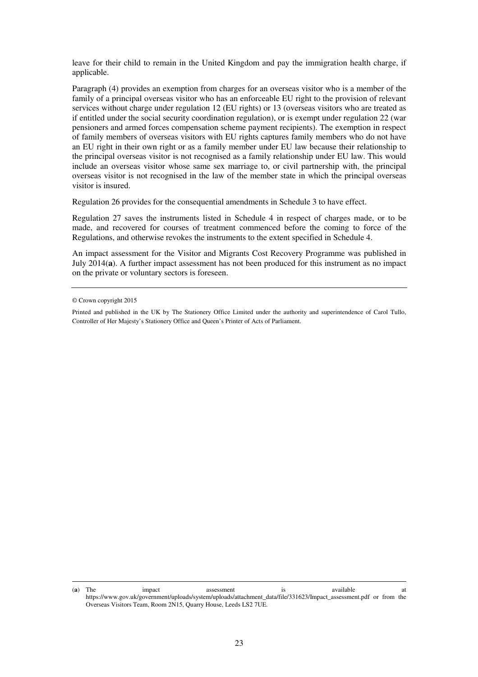leave for their child to remain in the United Kingdom and pay the immigration health charge, if applicable.

Paragraph (4) provides an exemption from charges for an overseas visitor who is a member of the family of a principal overseas visitor who has an enforceable EU right to the provision of relevant services without charge under regulation 12 (EU rights) or 13 (overseas visitors who are treated as if entitled under the social security coordination regulation), or is exempt under regulation 22 (war pensioners and armed forces compensation scheme payment recipients). The exemption in respect of family members of overseas visitors with EU rights captures family members who do not have an EU right in their own right or as a family member under EU law because their relationship to the principal overseas visitor is not recognised as a family relationship under EU law. This would include an overseas visitor whose same sex marriage to, or civil partnership with, the principal overseas visitor is not recognised in the law of the member state in which the principal overseas visitor is insured.

Regulation 26 provides for the consequential amendments in Schedule 3 to have effect.

Regulation 27 saves the instruments listed in Schedule 4 in respect of charges made, or to be made, and recovered for courses of treatment commenced before the coming to force of the Regulations, and otherwise revokes the instruments to the extent specified in Schedule 4.

An impact assessment for the Visitor and Migrants Cost Recovery Programme was published in July 2014(**a**). A further impact assessment has not been produced for this instrument as no impact on the private or voluntary sectors is foreseen.

<sup>©</sup> Crown copyright 2015

Printed and published in the UK by The Stationery Office Limited under the authority and superintendence of Carol Tullo, Controller of Her Majesty's Stationery Office and Queen's Printer of Acts of Parliament.

<sup>(</sup>**a**) The impact assessment is available at https://www.gov.uk/government/uploads/system/uploads/attachment\_data/file/331623/Impact\_assessment.pdf or from the Overseas Visitors Team, Room 2N15, Quarry House, Leeds LS2 7UE.